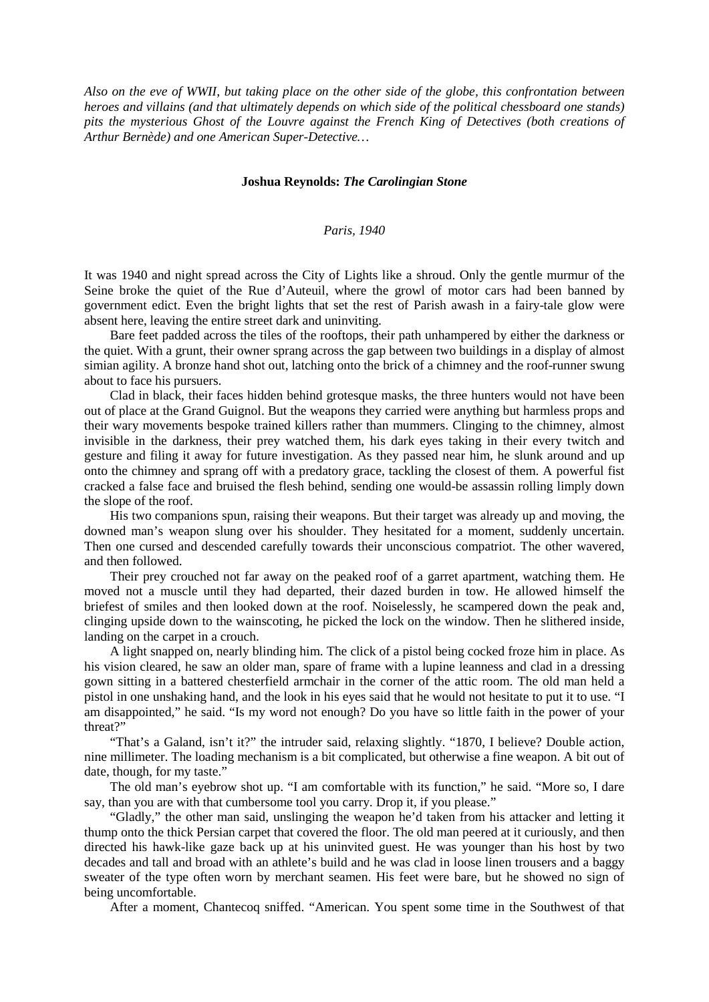*Also on the eve of WWII, but taking place on the other side of the globe, this confrontation between heroes and villains (and that ultimately depends on which side of the political chessboard one stands) pits the mysterious Ghost of the Louvre against the French King of Detectives (both creations of Arthur Bernède) and one American Super-Detective…*

## **Joshua Reynolds:** *The Carolingian Stone*

## *Paris, 1940*

It was 1940 and night spread across the City of Lights like a shroud. Only the gentle murmur of the Seine broke the quiet of the Rue d'Auteuil, where the growl of motor cars had been banned by government edict. Even the bright lights that set the rest of Parish awash in a fairy-tale glow were absent here, leaving the entire street dark and uninviting.

Bare feet padded across the tiles of the rooftops, their path unhampered by either the darkness or the quiet. With a grunt, their owner sprang across the gap between two buildings in a display of almost simian agility. A bronze hand shot out, latching onto the brick of a chimney and the roof-runner swung about to face his pursuers.

Clad in black, their faces hidden behind grotesque masks, the three hunters would not have been out of place at the Grand Guignol. But the weapons they carried were anything but harmless props and their wary movements bespoke trained killers rather than mummers. Clinging to the chimney, almost invisible in the darkness, their prey watched them, his dark eyes taking in their every twitch and gesture and filing it away for future investigation. As they passed near him, he slunk around and up onto the chimney and sprang off with a predatory grace, tackling the closest of them. A powerful fist cracked a false face and bruised the flesh behind, sending one would-be assassin rolling limply down the slope of the roof.

His two companions spun, raising their weapons. But their target was already up and moving, the downed man's weapon slung over his shoulder. They hesitated for a moment, suddenly uncertain. Then one cursed and descended carefully towards their unconscious compatriot. The other wavered, and then followed.

Their prey crouched not far away on the peaked roof of a garret apartment, watching them. He moved not a muscle until they had departed, their dazed burden in tow. He allowed himself the briefest of smiles and then looked down at the roof. Noiselessly, he scampered down the peak and, clinging upside down to the wainscoting, he picked the lock on the window. Then he slithered inside, landing on the carpet in a crouch.

A light snapped on, nearly blinding him. The click of a pistol being cocked froze him in place. As his vision cleared, he saw an older man, spare of frame with a lupine leanness and clad in a dressing gown sitting in a battered chesterfield armchair in the corner of the attic room. The old man held a pistol in one unshaking hand, and the look in his eyes said that he would not hesitate to put it to use. "I am disappointed," he said. "Is my word not enough? Do you have so little faith in the power of your threat?"

"That's a Galand, isn't it?" the intruder said, relaxing slightly. "1870, I believe? Double action, nine millimeter. The loading mechanism is a bit complicated, but otherwise a fine weapon. A bit out of date, though, for my taste."

The old man's eyebrow shot up. "I am comfortable with its function," he said. "More so, I dare say, than you are with that cumbersome tool you carry. Drop it, if you please."

"Gladly," the other man said, unslinging the weapon he'd taken from his attacker and letting it thump onto the thick Persian carpet that covered the floor. The old man peered at it curiously, and then directed his hawk-like gaze back up at his uninvited guest. He was younger than his host by two decades and tall and broad with an athlete's build and he was clad in loose linen trousers and a baggy sweater of the type often worn by merchant seamen. His feet were bare, but he showed no sign of being uncomfortable.

After a moment, Chantecoq sniffed. "American. You spent some time in the Southwest of that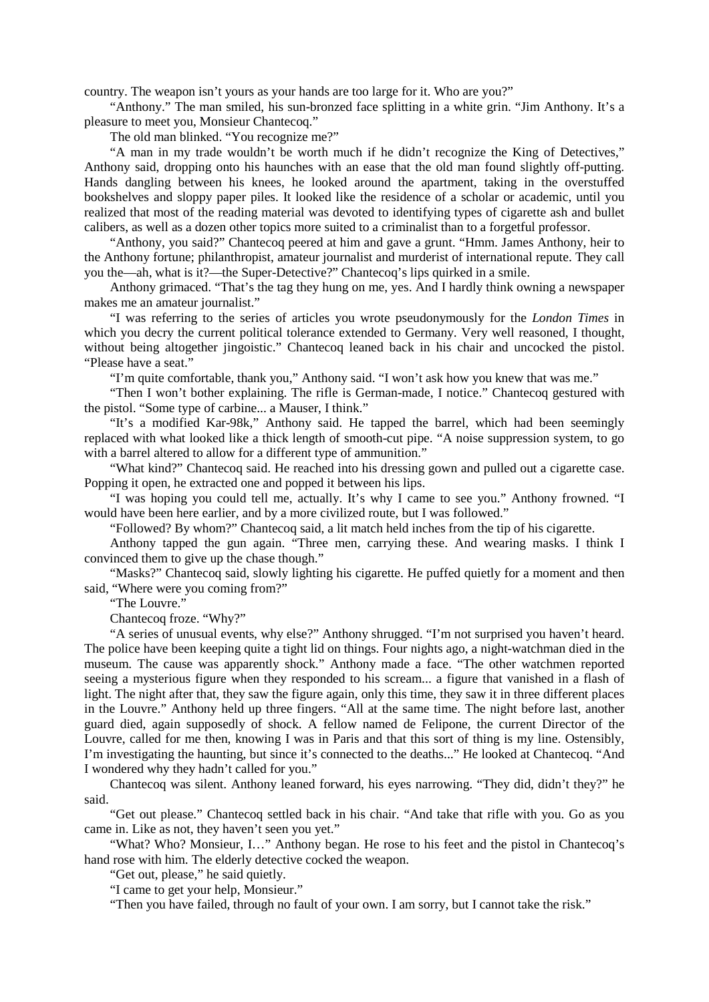country. The weapon isn't yours as your hands are too large for it. Who are you?"

"Anthony." The man smiled, his sun-bronzed face splitting in a white grin. "Jim Anthony. It's a pleasure to meet you, Monsieur Chantecoq."

The old man blinked. "You recognize me?"

"A man in my trade wouldn't be worth much if he didn't recognize the King of Detectives," Anthony said, dropping onto his haunches with an ease that the old man found slightly off-putting. Hands dangling between his knees, he looked around the apartment, taking in the overstuffed bookshelves and sloppy paper piles. It looked like the residence of a scholar or academic, until you realized that most of the reading material was devoted to identifying types of cigarette ash and bullet calibers, as well as a dozen other topics more suited to a criminalist than to a forgetful professor.

"Anthony, you said?" Chantecoq peered at him and gave a grunt. "Hmm. James Anthony, heir to the Anthony fortune; philanthropist, amateur journalist and murderist of international repute. They call you the—ah, what is it?—the Super-Detective?" Chantecoq's lips quirked in a smile.

Anthony grimaced. "That's the tag they hung on me, yes. And I hardly think owning a newspaper makes me an amateur journalist."

"I was referring to the series of articles you wrote pseudonymously for the *London Times* in which you decry the current political tolerance extended to Germany. Very well reasoned, I thought, without being altogether jingoistic." Chantecoq leaned back in his chair and uncocked the pistol. "Please have a seat."

"I'm quite comfortable, thank you," Anthony said. "I won't ask how you knew that was me."

"Then I won't bother explaining. The rifle is German-made, I notice." Chantecoq gestured with the pistol. "Some type of carbine... a Mauser, I think."

"It's a modified Kar-98k," Anthony said. He tapped the barrel, which had been seemingly replaced with what looked like a thick length of smooth-cut pipe. "A noise suppression system, to go with a barrel altered to allow for a different type of ammunition."

"What kind?" Chantecoq said. He reached into his dressing gown and pulled out a cigarette case. Popping it open, he extracted one and popped it between his lips.

"I was hoping you could tell me, actually. It's why I came to see you." Anthony frowned. "I would have been here earlier, and by a more civilized route, but I was followed."

"Followed? By whom?" Chantecoq said, a lit match held inches from the tip of his cigarette.

Anthony tapped the gun again. "Three men, carrying these. And wearing masks. I think I convinced them to give up the chase though."

"Masks?" Chantecoq said, slowly lighting his cigarette. He puffed quietly for a moment and then said, "Where were you coming from?"

"The Louvre."

Chantecoq froze. "Why?"

"A series of unusual events, why else?" Anthony shrugged. "I'm not surprised you haven't heard. The police have been keeping quite a tight lid on things. Four nights ago, a night-watchman died in the museum. The cause was apparently shock." Anthony made a face. "The other watchmen reported seeing a mysterious figure when they responded to his scream... a figure that vanished in a flash of light. The night after that, they saw the figure again, only this time, they saw it in three different places in the Louvre." Anthony held up three fingers. "All at the same time. The night before last, another guard died, again supposedly of shock. A fellow named de Felipone, the current Director of the Louvre, called for me then, knowing I was in Paris and that this sort of thing is my line. Ostensibly, I'm investigating the haunting, but since it's connected to the deaths..." He looked at Chantecoq. "And I wondered why they hadn't called for you."

Chantecoq was silent. Anthony leaned forward, his eyes narrowing. "They did, didn't they?" he said.

"Get out please." Chantecoq settled back in his chair. "And take that rifle with you. Go as you came in. Like as not, they haven't seen you yet."

"What? Who? Monsieur, I…" Anthony began. He rose to his feet and the pistol in Chantecoq's hand rose with him. The elderly detective cocked the weapon.

"Get out, please," he said quietly.

"I came to get your help, Monsieur."

"Then you have failed, through no fault of your own. I am sorry, but I cannot take the risk."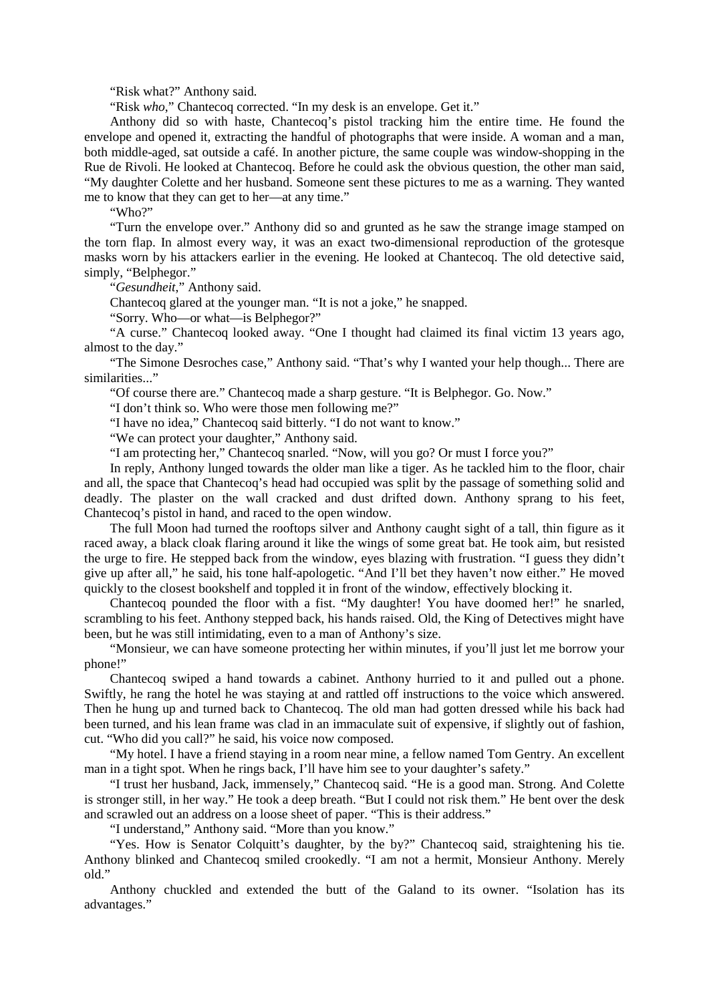"Risk what?" Anthony said.

"Risk *who*," Chantecoq corrected. "In my desk is an envelope. Get it."

Anthony did so with haste, Chantecoq's pistol tracking him the entire time. He found the envelope and opened it, extracting the handful of photographs that were inside. A woman and a man, both middle-aged, sat outside a café. In another picture, the same couple was window-shopping in the Rue de Rivoli. He looked at Chantecoq. Before he could ask the obvious question, the other man said, "My daughter Colette and her husband. Someone sent these pictures to me as a warning. They wanted me to know that they can get to her—at any time."

"Who?"

"Turn the envelope over." Anthony did so and grunted as he saw the strange image stamped on the torn flap. In almost every way, it was an exact two-dimensional reproduction of the grotesque masks worn by his attackers earlier in the evening. He looked at Chantecoq. The old detective said, simply, "Belphegor."

"*Gesundheit*," Anthony said.

Chantecoq glared at the younger man. "It is not a joke," he snapped.

"Sorry. Who—or what—is Belphegor?"

"A curse." Chantecoq looked away. "One I thought had claimed its final victim 13 years ago, almost to the day."

"The Simone Desroches case," Anthony said. "That's why I wanted your help though... There are similarities..."

"Of course there are." Chantecoq made a sharp gesture. "It is Belphegor. Go. Now."

"I don't think so. Who were those men following me?"

"I have no idea," Chantecoq said bitterly. "I do not want to know."

"We can protect your daughter," Anthony said.

"I am protecting her," Chantecoq snarled. "Now, will you go? Or must I force you?"

In reply, Anthony lunged towards the older man like a tiger. As he tackled him to the floor, chair and all, the space that Chantecoq's head had occupied was split by the passage of something solid and deadly. The plaster on the wall cracked and dust drifted down. Anthony sprang to his feet, Chantecoq's pistol in hand, and raced to the open window.

The full Moon had turned the rooftops silver and Anthony caught sight of a tall, thin figure as it raced away, a black cloak flaring around it like the wings of some great bat. He took aim, but resisted the urge to fire. He stepped back from the window, eyes blazing with frustration. "I guess they didn't give up after all," he said, his tone half-apologetic. "And I'll bet they haven't now either." He moved quickly to the closest bookshelf and toppled it in front of the window, effectively blocking it.

Chantecoq pounded the floor with a fist. "My daughter! You have doomed her!" he snarled, scrambling to his feet. Anthony stepped back, his hands raised. Old, the King of Detectives might have been, but he was still intimidating, even to a man of Anthony's size.

"Monsieur, we can have someone protecting her within minutes, if you'll just let me borrow your phone!"

Chantecoq swiped a hand towards a cabinet. Anthony hurried to it and pulled out a phone. Swiftly, he rang the hotel he was staying at and rattled off instructions to the voice which answered. Then he hung up and turned back to Chantecoq. The old man had gotten dressed while his back had been turned, and his lean frame was clad in an immaculate suit of expensive, if slightly out of fashion, cut. "Who did you call?" he said, his voice now composed.

"My hotel. I have a friend staying in a room near mine, a fellow named Tom Gentry. An excellent man in a tight spot. When he rings back, I'll have him see to your daughter's safety."

"I trust her husband, Jack, immensely," Chantecoq said. "He is a good man. Strong. And Colette is stronger still, in her way." He took a deep breath. "But I could not risk them." He bent over the desk and scrawled out an address on a loose sheet of paper. "This is their address."

"I understand," Anthony said. "More than you know."

"Yes. How is Senator Colquitt's daughter, by the by?" Chantecoq said, straightening his tie. Anthony blinked and Chantecoq smiled crookedly. "I am not a hermit, Monsieur Anthony. Merely old."

Anthony chuckled and extended the butt of the Galand to its owner. "Isolation has its advantages."